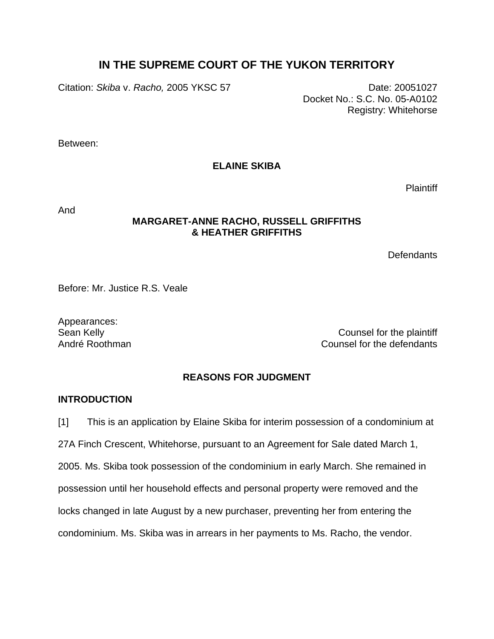# **IN THE SUPREME COURT OF THE YUKON TERRITORY**

Citation: *Skiba* v. *Racho,* 2005 YKSC 57 Date: 20051027

Docket No.: S.C. No. 05-A0102 Registry: Whitehorse

Between:

**ELAINE SKIBA** 

Plaintiff

And

### **MARGARET-ANNE RACHO, RUSSELL GRIFFITHS & HEATHER GRIFFITHS**

**Defendants** 

Before: Mr. Justice R.S. Veale

Appearances:

Sean Kelly **Counsel for the plaintiff** André Roothman Counsel for the defendants

# **REASONS FOR JUDGMENT**

# **INTRODUCTION**

[1] This is an application by Elaine Skiba for interim possession of a condominium at 27A Finch Crescent, Whitehorse, pursuant to an Agreement for Sale dated March 1, 2005. Ms. Skiba took possession of the condominium in early March. She remained in possession until her household effects and personal property were removed and the locks changed in late August by a new purchaser, preventing her from entering the condominium. Ms. Skiba was in arrears in her payments to Ms. Racho, the vendor.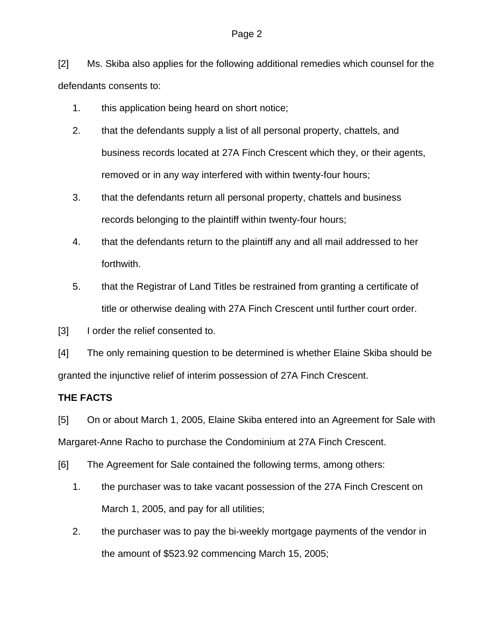### Page 2

[2] Ms. Skiba also applies for the following additional remedies which counsel for the defendants consents to:

- 1. this application being heard on short notice;
- 2. that the defendants supply a list of all personal property, chattels, and business records located at 27A Finch Crescent which they, or their agents, removed or in any way interfered with within twenty-four hours;
- 3. that the defendants return all personal property, chattels and business records belonging to the plaintiff within twenty-four hours;
- 4. that the defendants return to the plaintiff any and all mail addressed to her forthwith.
- 5. that the Registrar of Land Titles be restrained from granting a certificate of title or otherwise dealing with 27A Finch Crescent until further court order.

[3] I order the relief consented to.

[4] The only remaining question to be determined is whether Elaine Skiba should be granted the injunctive relief of interim possession of 27A Finch Crescent.

# **THE FACTS**

[5] On or about March 1, 2005, Elaine Skiba entered into an Agreement for Sale with Margaret-Anne Racho to purchase the Condominium at 27A Finch Crescent.

[6] The Agreement for Sale contained the following terms, among others:

- 1. the purchaser was to take vacant possession of the 27A Finch Crescent on March 1, 2005, and pay for all utilities;
- 2. the purchaser was to pay the bi-weekly mortgage payments of the vendor in the amount of \$523.92 commencing March 15, 2005;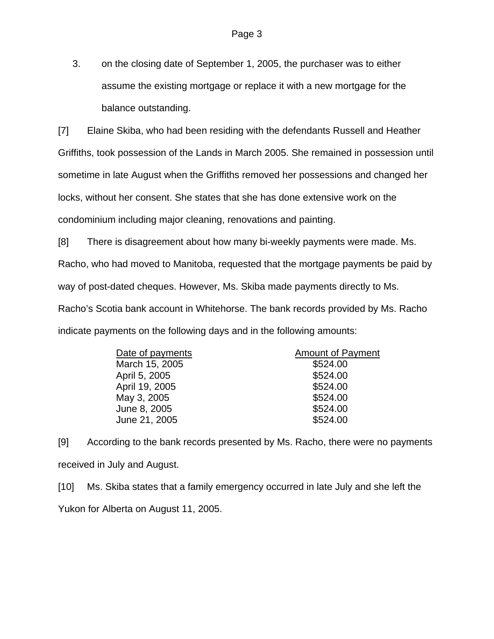3. on the closing date of September 1, 2005, the purchaser was to either assume the existing mortgage or replace it with a new mortgage for the balance outstanding.

[7] Elaine Skiba, who had been residing with the defendants Russell and Heather Griffiths, took possession of the Lands in March 2005. She remained in possession until sometime in late August when the Griffiths removed her possessions and changed her locks, without her consent. She states that she has done extensive work on the condominium including major cleaning, renovations and painting.

[8] There is disagreement about how many bi-weekly payments were made. Ms. Racho, who had moved to Manitoba, requested that the mortgage payments be paid by way of post-dated cheques. However, Ms. Skiba made payments directly to Ms. Racho's Scotia bank account in Whitehorse. The bank records provided by Ms. Racho indicate payments on the following days and in the following amounts:

| Date of payments | <b>Amount of Payment</b> |
|------------------|--------------------------|
| March 15, 2005   | \$524.00                 |
| April 5, 2005    | \$524.00                 |
| April 19, 2005   | \$524.00                 |
| May 3, 2005      | \$524.00                 |
| June 8, 2005     | \$524.00                 |
| June 21, 2005    | \$524.00                 |
|                  |                          |

[9] According to the bank records presented by Ms. Racho, there were no payments received in July and August.

[10] Ms. Skiba states that a family emergency occurred in late July and she left the Yukon for Alberta on August 11, 2005.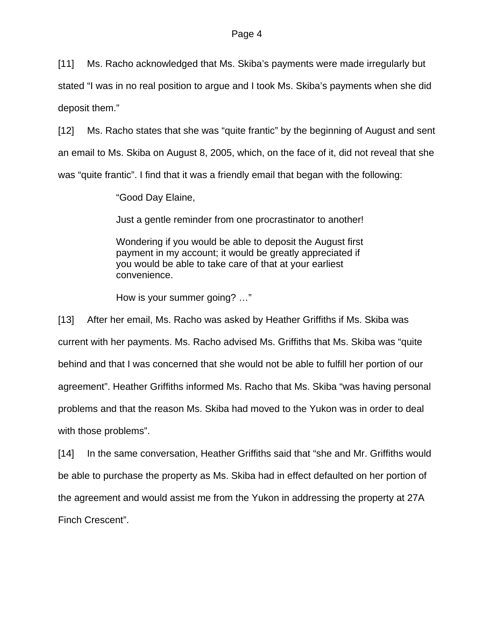[11] Ms. Racho acknowledged that Ms. Skiba's payments were made irregularly but

stated "I was in no real position to argue and I took Ms. Skiba's payments when she did deposit them."

[12] Ms. Racho states that she was "quite frantic" by the beginning of August and sent an email to Ms. Skiba on August 8, 2005, which, on the face of it, did not reveal that she was "quite frantic". I find that it was a friendly email that began with the following:

"Good Day Elaine,

Just a gentle reminder from one procrastinator to another!

Wondering if you would be able to deposit the August first payment in my account; it would be greatly appreciated if you would be able to take care of that at your earliest convenience.

How is your summer going? …"

[13] After her email, Ms. Racho was asked by Heather Griffiths if Ms. Skiba was current with her payments. Ms. Racho advised Ms. Griffiths that Ms. Skiba was "quite behind and that I was concerned that she would not be able to fulfill her portion of our agreement". Heather Griffiths informed Ms. Racho that Ms. Skiba "was having personal problems and that the reason Ms. Skiba had moved to the Yukon was in order to deal with those problems".

[14] In the same conversation, Heather Griffiths said that "she and Mr. Griffiths would be able to purchase the property as Ms. Skiba had in effect defaulted on her portion of the agreement and would assist me from the Yukon in addressing the property at 27A Finch Crescent".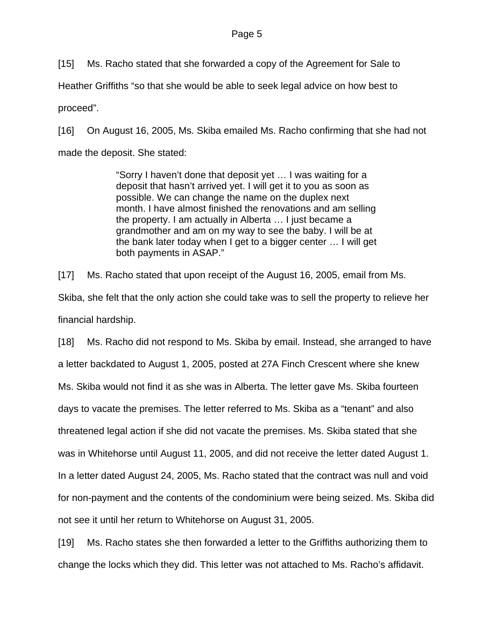### Page 5

[15] Ms. Racho stated that she forwarded a copy of the Agreement for Sale to

Heather Griffiths "so that she would be able to seek legal advice on how best to

proceed".

[16] On August 16, 2005, Ms. Skiba emailed Ms. Racho confirming that she had not made the deposit. She stated:

> "Sorry I haven't done that deposit yet … I was waiting for a deposit that hasn't arrived yet. I will get it to you as soon as possible. We can change the name on the duplex next month. I have almost finished the renovations and am selling the property. I am actually in Alberta … I just became a grandmother and am on my way to see the baby. I will be at the bank later today when I get to a bigger center … I will get both payments in ASAP."

[17] Ms. Racho stated that upon receipt of the August 16, 2005, email from Ms. Skiba, she felt that the only action she could take was to sell the property to relieve her financial hardship.

[18] Ms. Racho did not respond to Ms. Skiba by email. Instead, she arranged to have a letter backdated to August 1, 2005, posted at 27A Finch Crescent where she knew Ms. Skiba would not find it as she was in Alberta. The letter gave Ms. Skiba fourteen days to vacate the premises. The letter referred to Ms. Skiba as a "tenant" and also threatened legal action if she did not vacate the premises. Ms. Skiba stated that she was in Whitehorse until August 11, 2005, and did not receive the letter dated August 1. In a letter dated August 24, 2005, Ms. Racho stated that the contract was null and void for non-payment and the contents of the condominium were being seized. Ms. Skiba did not see it until her return to Whitehorse on August 31, 2005.

[19] Ms. Racho states she then forwarded a letter to the Griffiths authorizing them to change the locks which they did. This letter was not attached to Ms. Racho's affidavit.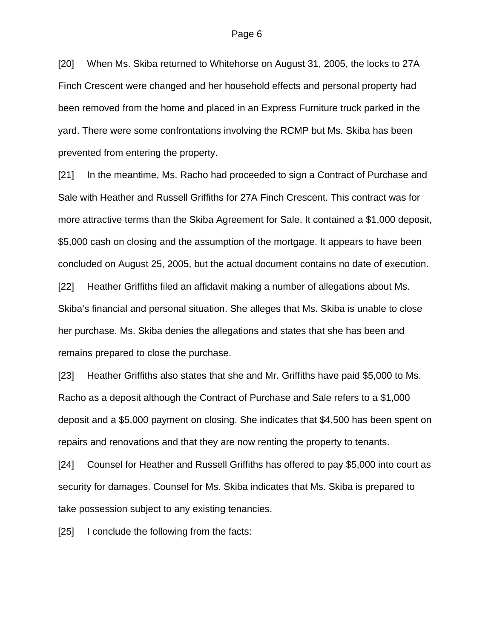[20] When Ms. Skiba returned to Whitehorse on August 31, 2005, the locks to 27A Finch Crescent were changed and her household effects and personal property had been removed from the home and placed in an Express Furniture truck parked in the yard. There were some confrontations involving the RCMP but Ms. Skiba has been prevented from entering the property.

[21] In the meantime, Ms. Racho had proceeded to sign a Contract of Purchase and Sale with Heather and Russell Griffiths for 27A Finch Crescent. This contract was for more attractive terms than the Skiba Agreement for Sale. It contained a \$1,000 deposit, \$5,000 cash on closing and the assumption of the mortgage. It appears to have been concluded on August 25, 2005, but the actual document contains no date of execution. [22] Heather Griffiths filed an affidavit making a number of allegations about Ms. Skiba's financial and personal situation. She alleges that Ms. Skiba is unable to close her purchase. Ms. Skiba denies the allegations and states that she has been and remains prepared to close the purchase.

[23] Heather Griffiths also states that she and Mr. Griffiths have paid \$5,000 to Ms. Racho as a deposit although the Contract of Purchase and Sale refers to a \$1,000 deposit and a \$5,000 payment on closing. She indicates that \$4,500 has been spent on repairs and renovations and that they are now renting the property to tenants.

[24] Counsel for Heather and Russell Griffiths has offered to pay \$5,000 into court as security for damages. Counsel for Ms. Skiba indicates that Ms. Skiba is prepared to take possession subject to any existing tenancies.

[25] I conclude the following from the facts: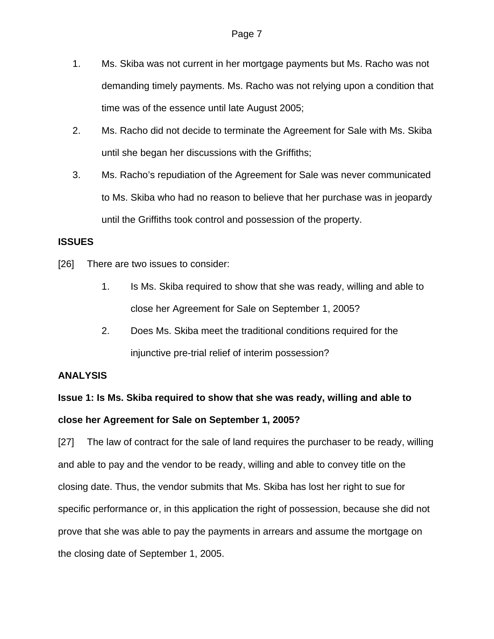- 1. Ms. Skiba was not current in her mortgage payments but Ms. Racho was not demanding timely payments. Ms. Racho was not relying upon a condition that time was of the essence until late August 2005;
- 2. Ms. Racho did not decide to terminate the Agreement for Sale with Ms. Skiba until she began her discussions with the Griffiths;
- 3. Ms. Racho's repudiation of the Agreement for Sale was never communicated to Ms. Skiba who had no reason to believe that her purchase was in jeopardy until the Griffiths took control and possession of the property.

# **ISSUES**

- [26] There are two issues to consider:
	- 1. Is Ms. Skiba required to show that she was ready, willing and able to close her Agreement for Sale on September 1, 2005?
	- 2. Does Ms. Skiba meet the traditional conditions required for the injunctive pre-trial relief of interim possession?

# **ANALYSIS**

# **Issue 1: Is Ms. Skiba required to show that she was ready, willing and able to close her Agreement for Sale on September 1, 2005?**

[27] The law of contract for the sale of land requires the purchaser to be ready, willing and able to pay and the vendor to be ready, willing and able to convey title on the closing date. Thus, the vendor submits that Ms. Skiba has lost her right to sue for specific performance or, in this application the right of possession, because she did not prove that she was able to pay the payments in arrears and assume the mortgage on the closing date of September 1, 2005.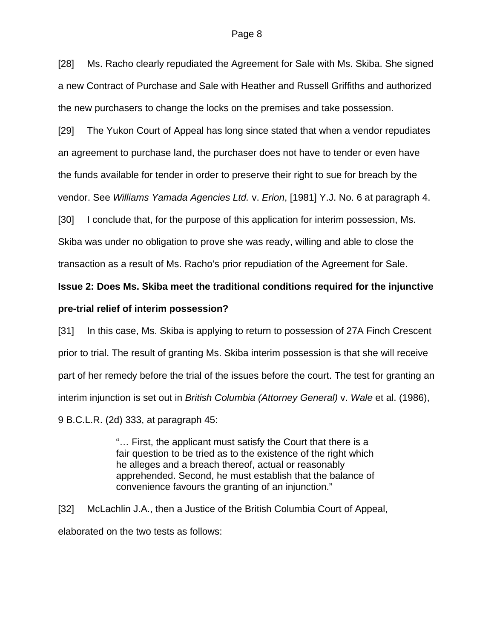#### Page 8

[28] Ms. Racho clearly repudiated the Agreement for Sale with Ms. Skiba. She signed a new Contract of Purchase and Sale with Heather and Russell Griffiths and authorized the new purchasers to change the locks on the premises and take possession.

[29] The Yukon Court of Appeal has long since stated that when a vendor repudiates an agreement to purchase land, the purchaser does not have to tender or even have the funds available for tender in order to preserve their right to sue for breach by the vendor. See *Williams Yamada Agencies Ltd.* v. *Erion*, [1981] Y.J. No. 6 at paragraph 4.

[30] I conclude that, for the purpose of this application for interim possession, Ms.

Skiba was under no obligation to prove she was ready, willing and able to close the transaction as a result of Ms. Racho's prior repudiation of the Agreement for Sale.

# **Issue 2: Does Ms. Skiba meet the traditional conditions required for the injunctive**

### **pre-trial relief of interim possession?**

[31] In this case, Ms. Skiba is applying to return to possession of 27A Finch Crescent prior to trial. The result of granting Ms. Skiba interim possession is that she will receive part of her remedy before the trial of the issues before the court. The test for granting an interim injunction is set out in *British Columbia (Attorney General)* v. *Wale* et al. (1986), 9 B.C.L.R. (2d) 333, at paragraph 45:

> "… First, the applicant must satisfy the Court that there is a fair question to be tried as to the existence of the right which he alleges and a breach thereof, actual or reasonably apprehended. Second, he must establish that the balance of convenience favours the granting of an injunction."

[32] McLachlin J.A., then a Justice of the British Columbia Court of Appeal, elaborated on the two tests as follows: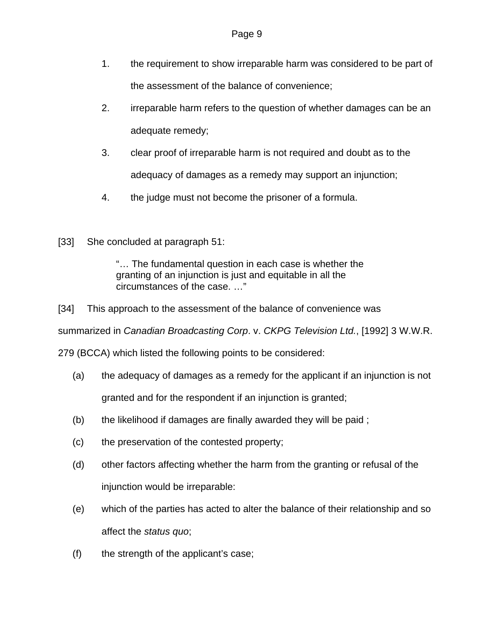- 1. the requirement to show irreparable harm was considered to be part of the assessment of the balance of convenience;
- 2. irreparable harm refers to the question of whether damages can be an adequate remedy;
- 3. clear proof of irreparable harm is not required and doubt as to the adequacy of damages as a remedy may support an injunction;
- 4. the judge must not become the prisoner of a formula.
- [33] She concluded at paragraph 51:

"… The fundamental question in each case is whether the granting of an injunction is just and equitable in all the circumstances of the case. …"

[34] This approach to the assessment of the balance of convenience was

summarized in *Canadian Broadcasting Corp*. v. *CKPG Television Ltd.*, [1992] 3 W.W.R.

279 (BCCA) which listed the following points to be considered:

- (a) the adequacy of damages as a remedy for the applicant if an injunction is not granted and for the respondent if an injunction is granted;
- (b) the likelihood if damages are finally awarded they will be paid ;
- (c) the preservation of the contested property;
- (d) other factors affecting whether the harm from the granting or refusal of the injunction would be irreparable:
- (e) which of the parties has acted to alter the balance of their relationship and so affect the *status quo*;
- (f) the strength of the applicant's case;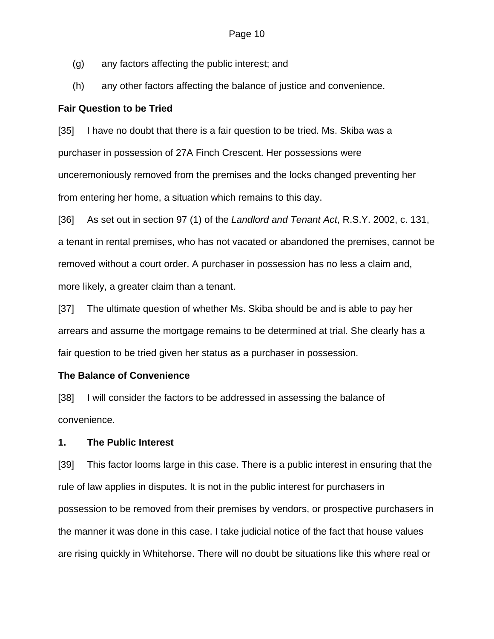- (g) any factors affecting the public interest; and
- (h) any other factors affecting the balance of justice and convenience.

### **Fair Question to be Tried**

[35] I have no doubt that there is a fair question to be tried. Ms. Skiba was a purchaser in possession of 27A Finch Crescent. Her possessions were unceremoniously removed from the premises and the locks changed preventing her from entering her home, a situation which remains to this day.

[36] As set out in section 97 (1) of the *Landlord and Tenant Act*, R.S.Y. 2002, c. 131, a tenant in rental premises, who has not vacated or abandoned the premises, cannot be removed without a court order. A purchaser in possession has no less a claim and, more likely, a greater claim than a tenant.

[37] The ultimate question of whether Ms. Skiba should be and is able to pay her arrears and assume the mortgage remains to be determined at trial. She clearly has a fair question to be tried given her status as a purchaser in possession.

# **The Balance of Convenience**

[38] I will consider the factors to be addressed in assessing the balance of convenience.

# **1. The Public Interest**

[39] This factor looms large in this case. There is a public interest in ensuring that the rule of law applies in disputes. It is not in the public interest for purchasers in possession to be removed from their premises by vendors, or prospective purchasers in the manner it was done in this case. I take judicial notice of the fact that house values are rising quickly in Whitehorse. There will no doubt be situations like this where real or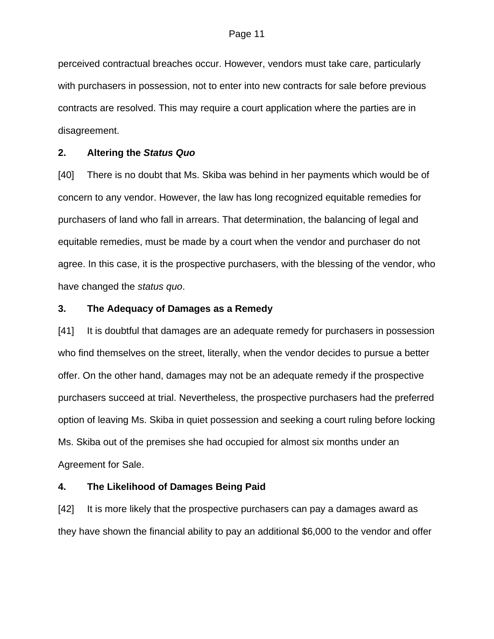perceived contractual breaches occur. However, vendors must take care, particularly with purchasers in possession, not to enter into new contracts for sale before previous contracts are resolved. This may require a court application where the parties are in disagreement.

### **2. Altering the** *Status Quo*

[40] There is no doubt that Ms. Skiba was behind in her payments which would be of concern to any vendor. However, the law has long recognized equitable remedies for purchasers of land who fall in arrears. That determination, the balancing of legal and equitable remedies, must be made by a court when the vendor and purchaser do not agree. In this case, it is the prospective purchasers, with the blessing of the vendor, who have changed the *status quo*.

### **3. The Adequacy of Damages as a Remedy**

[41] It is doubtful that damages are an adequate remedy for purchasers in possession who find themselves on the street, literally, when the vendor decides to pursue a better offer. On the other hand, damages may not be an adequate remedy if the prospective purchasers succeed at trial. Nevertheless, the prospective purchasers had the preferred option of leaving Ms. Skiba in quiet possession and seeking a court ruling before locking Ms. Skiba out of the premises she had occupied for almost six months under an Agreement for Sale.

### **4. The Likelihood of Damages Being Paid**

[42] It is more likely that the prospective purchasers can pay a damages award as they have shown the financial ability to pay an additional \$6,000 to the vendor and offer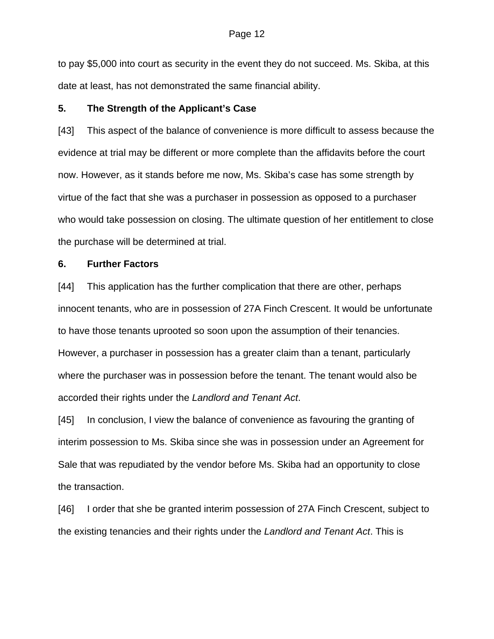to pay \$5,000 into court as security in the event they do not succeed. Ms. Skiba, at this date at least, has not demonstrated the same financial ability.

#### **5. The Strength of the Applicant's Case**

[43] This aspect of the balance of convenience is more difficult to assess because the evidence at trial may be different or more complete than the affidavits before the court now. However, as it stands before me now, Ms. Skiba's case has some strength by virtue of the fact that she was a purchaser in possession as opposed to a purchaser who would take possession on closing. The ultimate question of her entitlement to close the purchase will be determined at trial.

### **6. Further Factors**

[44] This application has the further complication that there are other, perhaps innocent tenants, who are in possession of 27A Finch Crescent. It would be unfortunate to have those tenants uprooted so soon upon the assumption of their tenancies. However, a purchaser in possession has a greater claim than a tenant, particularly where the purchaser was in possession before the tenant. The tenant would also be accorded their rights under the *Landlord and Tenant Act*.

[45] In conclusion, I view the balance of convenience as favouring the granting of interim possession to Ms. Skiba since she was in possession under an Agreement for Sale that was repudiated by the vendor before Ms. Skiba had an opportunity to close the transaction.

[46] I order that she be granted interim possession of 27A Finch Crescent, subject to the existing tenancies and their rights under the *Landlord and Tenant Act*. This is